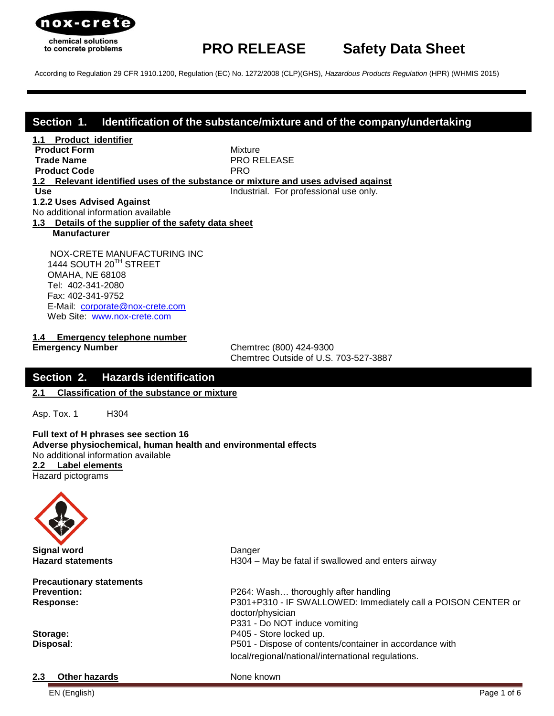

According to Regulation 29 CFR 1910.1200, Regulation (EC) No. 1272/2008 (CLP)(GHS), *Hazardous Products Regulation* (HPR) (WHMIS 2015)

## **Section 1. Identification of the substance/mixture and of the company/undertaking**

**1.1 Product identifier Product Form** Mixture Trade Name **PRO RELEASE Product Code** PRO **1.2 Relevant identified uses of the substance or mixture and uses advised against Use Industrial.** For professional use only. **1**.**2.2 Uses Advised Against** No additional information available **1.3 Details of the supplier of the safety data sheet**

 **Manufacturer** 

 NOX-CRETE MANUFACTURING INC 1444 SOUTH 20TH STREET OMAHA, NE 68108 Tel: 402-341-2080 Fax: 402-341-9752 E-Mail: [corporate@nox-crete.com](mailto:corperate@nox-crete.com) Web Site: [www.nox-crete.com](http://www.nox-crete.com/)

**1.4 Emergency telephone number**

**Emergency Number** Chemtrec (800) 424-9300 Chemtrec Outside of U.S. 703-527-3887

### **Section 2. Hazards identification**

**2.1 Classification of the substance or mixture**

Asp. Tox. 1 H304

**Full text of H phrases see section 16 Adverse physiochemical, human health and environmental effects** No additional information available **2.2 Label elements**

Hazard pictograms



**Signal word** Danger

**Precautionary statements** 

**2.3 Other hazards** None known

EN (English) Page 1 of 6

**Hazard statements H304** – May be fatal if swallowed and enters airway

**Prevention: P264: Wash... thoroughly after handling Response:** P301+P310 - IF SWALLOWED: Immediately call a POISON CENTER or doctor/physician P331 - Do NOT induce vomiting **Storage:** P405 - Store locked up. **Disposal**: P501 - Dispose of contents/container in accordance with local/regional/national/international regulations.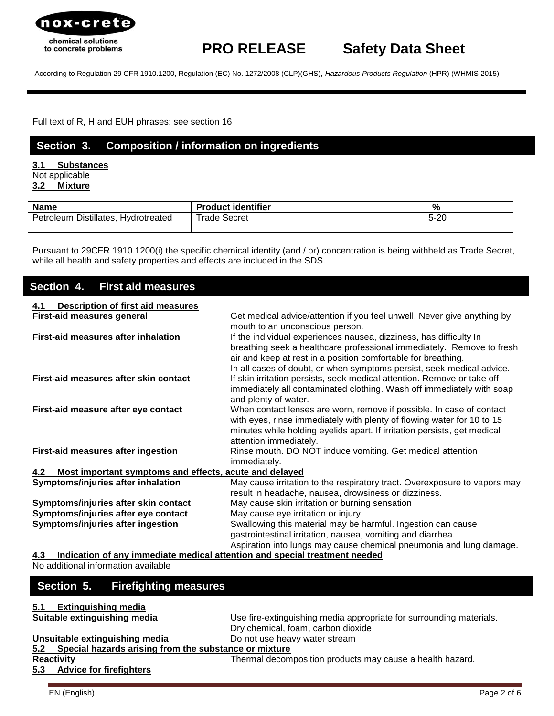

#### According to Regulation 29 CFR 1910.1200, Regulation (EC) No. 1272/2008 (CLP)(GHS), *Hazardous Products Regulation* (HPR) (WHMIS 2015)

Full text of R, H and EUH phrases: see section 16

#### **Section 3. Composition / information on ingredients**

**3.1 Substances** Not applicable **3.2 Mixture**

| <b>Name</b>                         | <b>Product identifier</b> |          |
|-------------------------------------|---------------------------|----------|
| Petroleum Distillates, Hydrotreated | Trade Secret              | $5 - 20$ |

Pursuant to 29CFR 1910.1200(i) the specific chemical identity (and / or) concentration is being withheld as Trade Secret, while all health and safety properties and effects are included in the SDS.

#### **4.1 Description of first aid measures First-aid measures general** Get medical advice/attention if you feel unwell. Never give anything by mouth to an unconscious person. **First-aid measures after inhalation If the individual experiences nausea, dizziness, has difficulty In** breathing seek a healthcare professional immediately. Remove to fresh air and keep at rest in a position comfortable for breathing. In all cases of doubt, or when symptoms persist, seek medical advice. **First-aid measures after skin contact** If skin irritation persists, seek medical attention. Remove or take off immediately all contaminated clothing. Wash off immediately with soap and plenty of water. **First-aid measure after eye contact** When contact lenses are worn, remove if possible. In case of contact with eyes, rinse immediately with plenty of flowing water for 10 to 15 minutes while holding eyelids apart. If irritation persists, get medical attention immediately. **First-aid measures after ingestion** Rinse mouth. DO NOT induce vomiting. Get medical attention immediately. **4.2 Most important symptoms and effects, acute and delayed Symptoms/injuries after inhalation** May cause irritation to the respiratory tract. Overexposure to vapors may result in headache, nausea, drowsiness or dizziness. **Symptoms/injuries after skin contact** May cause skin irritation or burning sensation **Symptoms/injuries after eye contact** May cause eye irritation or injury **Symptoms/injuries after ingestion** Swallowing this material may be harmful. Ingestion can cause gastrointestinal irritation, nausea, vomiting and diarrhea. Aspiration into lungs may cause chemical pneumonia and lung damage. **4.3 Indication of any immediate medical attention and special treatment needed Section 4. First aid measures**

No additional information available

### **Section 5. Firefighting measures**

| 5.1 Extinguishing media                                   |                                                                     |
|-----------------------------------------------------------|---------------------------------------------------------------------|
| Suitable extinguishing media                              | Use fire-extinguishing media appropriate for surrounding materials. |
|                                                           | Dry chemical, foam, carbon dioxide                                  |
| Unsuitable extinguishing media                            | Do not use heavy water stream                                       |
| 5.2 Special hazards arising from the substance or mixture |                                                                     |
| <b>Reactivity</b>                                         | Thermal decomposition products may cause a health hazard.           |
| 5.3 Advice for firefighters                               |                                                                     |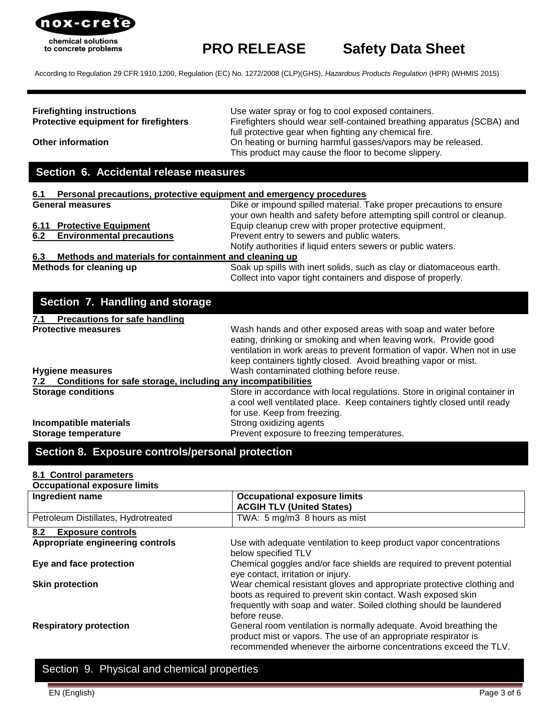

According to Regulation 29 CFR 1910.1200, Regulation (EC) No. 1272/2008 (CLP)(GHS), *Hazardous Products Regulation* (HPR) (WHMIS 2015)

**Firefighting instructions** Use water spray or fog to cool exposed containers. **Protective equipment for firefighters** Firefighters should wear self-contained breathing apparatus (SCBA) and full protective gear when fighting any chemical fire. **Other information On heating or burning harmful gasses/vapors may be released.** This product may cause the floor to become slippery.

# **Section 6. Accidental release measures**

#### **6.1 Personal precautions, protective equipment and emergency procedures General measures Example 2** Dike or impound spilled material. Take proper precautions to ensure your own health and safety before attempting spill control or cleanup. **6.11 Protective Equipment** Equip Cleanup crew with proper protective equipment. **6.2 Environmental precautions** Prevent entry to sewers and public waters. Notify authorities if liquid enters sewers or public waters. **6.3 Methods and materials for containment and cleaning up Methods for cleaning up** Soak up spills with inert solids, such as clay or diatomaceous earth. Collect into vapor tight containers and dispose of properly. **7.1 Precautions for safe handling Protective measures** The Mash hands and other exposed areas with soap and water before eating, drinking or smoking and when leaving work. Provide good ventilation in work areas to prevent formation of vapor. When not in use keep containers tightly closed. Avoid breathing vapor or mist. **Hygiene measures** Wash contaminated clothing before reuse. **7.2 Conditions for safe storage, including any incompatibilities Storage conditions** Store in accordance with local regulations. Store in original container in a cool well ventilated place. Keep containers tightly closed until ready for use. Keep from freezing. **Incompatible materials Incompatible materials** Strong oxidizing agents **Storage temperature Exercise 2 and Storage temperatures.** Prevent exposure to freezing temperatures. **Section 7. Handling and storage**

## **Section 8. Exposure controls/personal protection**

#### **8.1 Control parameters**

#### **Occupational exposure limits**

| Ingredient name                     | <b>Occupational exposure limits</b>                                                                                                                                                                                            |
|-------------------------------------|--------------------------------------------------------------------------------------------------------------------------------------------------------------------------------------------------------------------------------|
|                                     | <b>ACGIH TLV (United States)</b>                                                                                                                                                                                               |
| Petroleum Distillates, Hydrotreated | TWA: 5 mg/m3 8 hours as mist                                                                                                                                                                                                   |
| 8.2<br><b>Exposure controls</b>     |                                                                                                                                                                                                                                |
| Appropriate engineering controls    | Use with adequate ventilation to keep product vapor concentrations<br>below specified TLV                                                                                                                                      |
| Eye and face protection             | Chemical goggles and/or face shields are required to prevent potential<br>eye contact, irritation or injury.                                                                                                                   |
| <b>Skin protection</b>              | Wear chemical resistant gloves and appropriate protective clothing and<br>boots as required to prevent skin contact. Wash exposed skin<br>frequently with soap and water. Soiled clothing should be laundered<br>before reuse. |
| <b>Respiratory protection</b>       | General room ventilation is normally adequate. Avoid breathing the<br>product mist or vapors. The use of an appropriate respirator is<br>recommended whenever the airborne concentrations exceed the TLV.                      |

# Section 9. Physical and chemical properties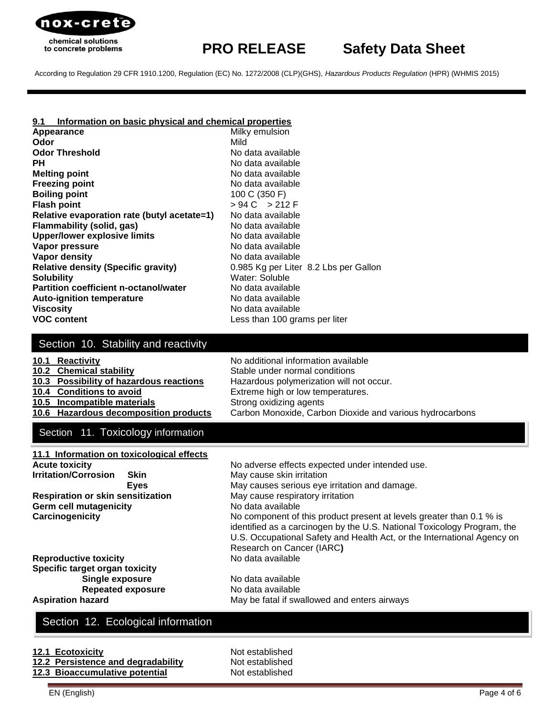

According to Regulation 29 CFR 1910.1200, Regulation (EC) No. 1272/2008 (CLP)(GHS), *Hazardous Products Regulation* (HPR) (WHMIS 2015)

#### **9.1 Information on basic physical and chemical properties**

**Appearance** Milky emulsion **Odor** Mild **Odor Threshold No data available No data available PH** No data available **Melting point Melting point No data available Freezing point No data available Boiling point** 100 C (350 F) **Flash point**  $> 94 \text{ C} > 212 \text{ F}$ **Relative evaporation rate (butyl acetate=1)** No data available **Flammability (solid, gas)** No data available **Upper/lower explosive limits** No data available **Vapor pressure** No data available **Vapor density No data available No data available Relative density (Specific gravity)** 0.985 Kg per Liter 8.2 Lbs per Gallon **Solubility** Water: Soluble Partition coefficient n-octanol/water No data available **Auto-ignition temperature** No data available **Viscosity**<br> **VOC content**<br>
VOC content<br>
VOC content

Less than 100 grams per liter

#### Section 10. Stability and reactivity

| 10.1 Reactivity                         | No additional information available                      |
|-----------------------------------------|----------------------------------------------------------|
| 10.2 Chemical stability                 | Stable under normal conditions                           |
| 10.3 Possibility of hazardous reactions | Hazardous polymerization will not occur.                 |
| 10.4 Conditions to avoid                | Extreme high or low temperatures.                        |
| 10.5 Incompatible materials             | Strong oxidizing agents                                  |
| 10.6 Hazardous decomposition products   | Carbon Monoxide, Carbon Dioxide and various hydrocarbons |

## Section 11. Toxicology information

| 11.1 Information on toxicological effects  |                                                                                                                                                                                                                                                         |
|--------------------------------------------|---------------------------------------------------------------------------------------------------------------------------------------------------------------------------------------------------------------------------------------------------------|
| <b>Acute toxicity</b>                      | No adverse effects expected under intended use.                                                                                                                                                                                                         |
| <b>Irritation/Corrosion</b><br><b>Skin</b> | May cause skin irritation                                                                                                                                                                                                                               |
| Eyes                                       | May causes serious eye irritation and damage.                                                                                                                                                                                                           |
| <b>Respiration or skin sensitization</b>   | May cause respiratory irritation                                                                                                                                                                                                                        |
| Germ cell mutagenicity                     | No data available                                                                                                                                                                                                                                       |
| <b>Carcinogenicity</b>                     | No component of this product present at levels greater than 0.1 % is<br>identified as a carcinogen by the U.S. National Toxicology Program, the<br>U.S. Occupational Safety and Health Act, or the International Agency on<br>Research on Cancer (IARC) |
| <b>Reproductive toxicity</b>               | No data available                                                                                                                                                                                                                                       |
| <b>Specific target organ toxicity</b>      |                                                                                                                                                                                                                                                         |
| Single exposure                            | No data available                                                                                                                                                                                                                                       |
| <b>Repeated exposure</b>                   | No data available                                                                                                                                                                                                                                       |
| <b>Aspiration hazard</b>                   | May be fatal if swallowed and enters airways                                                                                                                                                                                                            |

### Section 12. Ecological information

| Ecotoxicity |
|-------------|
|             |

**12.2 Persistence and degradability** Not established **12.3 Bioaccumulative potential Motion Restablished** 

**Not established**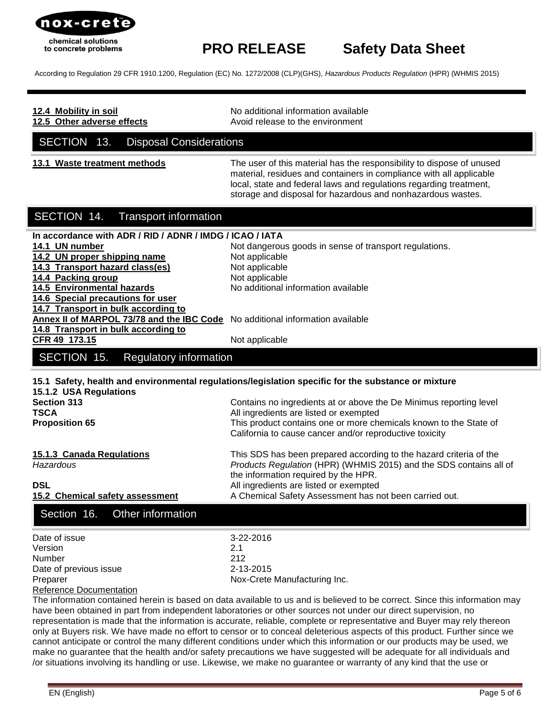

According to Regulation 29 CFR 1910.1200, Regulation (EC) No. 1272/2008 (CLP)(GHS), *Hazardous Products Regulation* (HPR) (WHMIS 2015)

| 12.4 Mobility in soil<br>12.5 Other adverse effects                                                                                                                                                                                    | No additional information available<br>Avoid release to the environment                                                                                                                                                                                                                                                                             |
|----------------------------------------------------------------------------------------------------------------------------------------------------------------------------------------------------------------------------------------|-----------------------------------------------------------------------------------------------------------------------------------------------------------------------------------------------------------------------------------------------------------------------------------------------------------------------------------------------------|
| SECTION 13.<br><b>Disposal Considerations</b>                                                                                                                                                                                          |                                                                                                                                                                                                                                                                                                                                                     |
| 13.1 Waste treatment methods                                                                                                                                                                                                           | The user of this material has the responsibility to dispose of unused<br>material, residues and containers in compliance with all applicable<br>local, state and federal laws and regulations regarding treatment,<br>storage and disposal for hazardous and nonhazardous wastes.                                                                   |
| SECTION 14.<br><b>Transport information</b>                                                                                                                                                                                            |                                                                                                                                                                                                                                                                                                                                                     |
| In accordance with ADR / RID / ADNR / IMDG / ICAO / IATA<br>14.1 UN number<br>14.2 UN proper shipping name<br>14.3 Transport hazard class(es)<br>14.4 Packing group<br>14.5 Environmental hazards<br>14.6 Special precautions for user | Not dangerous goods in sense of transport regulations.<br>Not applicable<br>Not applicable<br>Not applicable<br>No additional information available                                                                                                                                                                                                 |
| 14.7 Transport in bulk according to<br>Annex II of MARPOL 73/78 and the IBC Code No additional information available<br>14.8 Transport in bulk according to<br>CFR 49 173.15                                                           | Not applicable                                                                                                                                                                                                                                                                                                                                      |
| SECTION 15.<br><b>Regulatory information</b>                                                                                                                                                                                           |                                                                                                                                                                                                                                                                                                                                                     |
|                                                                                                                                                                                                                                        |                                                                                                                                                                                                                                                                                                                                                     |
| 15.1.2 USA Regulations<br><b>Section 313</b><br><b>TSCA</b><br><b>Proposition 65</b>                                                                                                                                                   | 15.1 Safety, health and environmental regulations/legislation specific for the substance or mixture<br>Contains no ingredients at or above the De Minimus reporting level<br>All ingredients are listed or exempted<br>This product contains one or more chemicals known to the State of<br>California to cause cancer and/or reproductive toxicity |
| 15.1.3 Canada Regulations<br>Hazardous<br><b>DSL</b><br>15.2 Chemical safety assessment                                                                                                                                                | This SDS has been prepared according to the hazard criteria of the<br>Products Regulation (HPR) (WHMIS 2015) and the SDS contains all of<br>the information required by the HPR.<br>All ingredients are listed or exempted<br>A Chemical Safety Assessment has not been carried out.                                                                |
| Section 16.<br>Other information                                                                                                                                                                                                       |                                                                                                                                                                                                                                                                                                                                                     |
| Date of issue<br>Version<br>Number<br>Date of previous issue<br>Preparer<br><b>Reference Documentation</b>                                                                                                                             | 3-22-2016<br>2.1<br>212<br>2-13-2015<br>Nox-Crete Manufacturing Inc.                                                                                                                                                                                                                                                                                |

cannot anticipate or control the many different conditions under which this information or our products may be used, we make no guarantee that the health and/or safety precautions we have suggested will be adequate for all individuals and /or situations involving its handling or use. Likewise, we make no guarantee or warranty of any kind that the use or